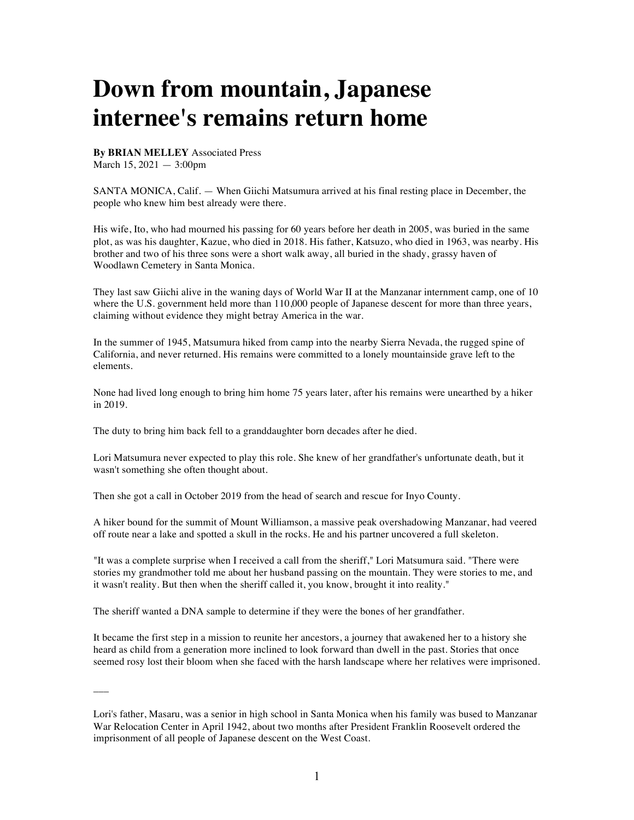## **Down from mountain, Japanese internee's remains return home**

**By BRIAN MELLEY** Associated Press March 15, 2021 — 3:00pm

 $\overline{\phantom{a}}$ 

SANTA MONICA, Calif. — When Giichi Matsumura arrived at his final resting place in December, the people who knew him best already were there.

His wife, Ito, who had mourned his passing for 60 years before her death in 2005, was buried in the same plot, as was his daughter, Kazue, who died in 2018. His father, Katsuzo, who died in 1963, was nearby. His brother and two of his three sons were a short walk away, all buried in the shady, grassy haven of Woodlawn Cemetery in Santa Monica.

They last saw Giichi alive in the waning days of World War II at the Manzanar internment camp, one of 10 where the U.S. government held more than 110,000 people of Japanese descent for more than three years, claiming without evidence they might betray America in the war.

In the summer of 1945, Matsumura hiked from camp into the nearby Sierra Nevada, the rugged spine of California, and never returned. His remains were committed to a lonely mountainside grave left to the elements.

None had lived long enough to bring him home 75 years later, after his remains were unearthed by a hiker in 2019.

The duty to bring him back fell to a granddaughter born decades after he died.

Lori Matsumura never expected to play this role. She knew of her grandfather's unfortunate death, but it wasn't something she often thought about.

Then she got a call in October 2019 from the head of search and rescue for Inyo County.

A hiker bound for the summit of Mount Williamson, a massive peak overshadowing Manzanar, had veered off route near a lake and spotted a skull in the rocks. He and his partner uncovered a full skeleton.

"It was a complete surprise when I received a call from the sheriff," Lori Matsumura said. "There were stories my grandmother told me about her husband passing on the mountain. They were stories to me, and it wasn't reality. But then when the sheriff called it, you know, brought it into reality."

The sheriff wanted a DNA sample to determine if they were the bones of her grandfather.

It became the first step in a mission to reunite her ancestors, a journey that awakened her to a history she heard as child from a generation more inclined to look forward than dwell in the past. Stories that once seemed rosy lost their bloom when she faced with the harsh landscape where her relatives were imprisoned.

Lori's father, Masaru, was a senior in high school in Santa Monica when his family was bused to Manzanar War Relocation Center in April 1942, about two months after President Franklin Roosevelt ordered the imprisonment of all people of Japanese descent on the West Coast.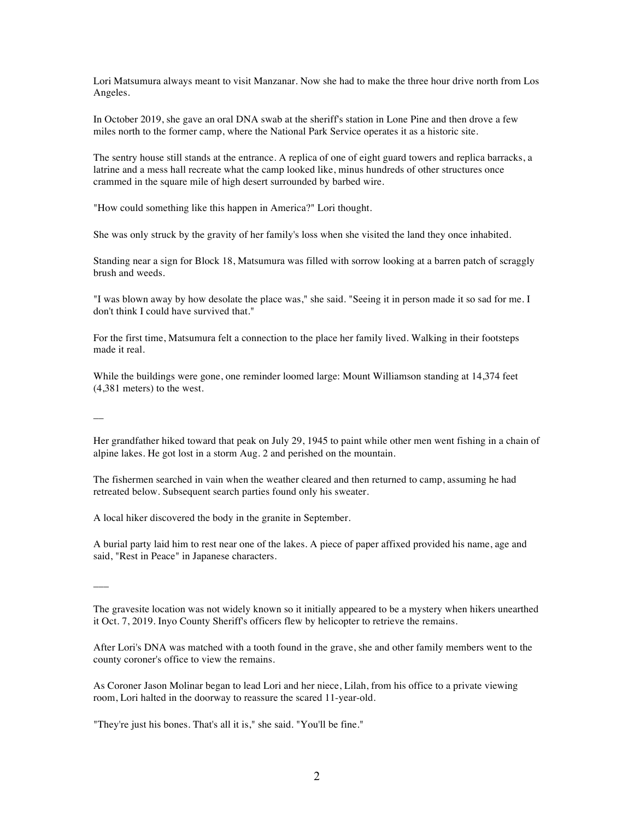Lori Matsumura always meant to visit Manzanar. Now she had to make the three hour drive north from Los Angeles.

In October 2019, she gave an oral DNA swab at the sheriff's station in Lone Pine and then drove a few miles north to the former camp, where the National Park Service operates it as a historic site.

The sentry house still stands at the entrance. A replica of one of eight guard towers and replica barracks, a latrine and a mess hall recreate what the camp looked like, minus hundreds of other structures once crammed in the square mile of high desert surrounded by barbed wire.

"How could something like this happen in America?" Lori thought.

She was only struck by the gravity of her family's loss when she visited the land they once inhabited.

Standing near a sign for Block 18, Matsumura was filled with sorrow looking at a barren patch of scraggly brush and weeds.

"I was blown away by how desolate the place was," she said. "Seeing it in person made it so sad for me. I don't think I could have survived that."

For the first time, Matsumura felt a connection to the place her family lived. Walking in their footsteps made it real.

While the buildings were gone, one reminder loomed large: Mount Williamson standing at 14,374 feet (4,381 meters) to the west.

 $\overline{\phantom{a}}$ 

Her grandfather hiked toward that peak on July 29, 1945 to paint while other men went fishing in a chain of alpine lakes. He got lost in a storm Aug. 2 and perished on the mountain.

The fishermen searched in vain when the weather cleared and then returned to camp, assuming he had retreated below. Subsequent search parties found only his sweater.

A local hiker discovered the body in the granite in September.

A burial party laid him to rest near one of the lakes. A piece of paper affixed provided his name, age and said, "Rest in Peace" in Japanese characters.

 $\overline{\phantom{a}}$ 

After Lori's DNA was matched with a tooth found in the grave, she and other family members went to the county coroner's office to view the remains.

As Coroner Jason Molinar began to lead Lori and her niece, Lilah, from his office to a private viewing room, Lori halted in the doorway to reassure the scared 11-year-old.

"They're just his bones. That's all it is," she said. "You'll be fine."

The gravesite location was not widely known so it initially appeared to be a mystery when hikers unearthed it Oct. 7, 2019. Inyo County Sheriff's officers flew by helicopter to retrieve the remains.